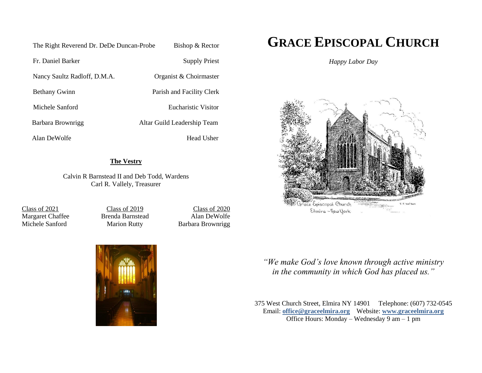| The Right Reverend Dr. DeDe Duncan-Probe | Bishop & Rector             |
|------------------------------------------|-----------------------------|
| Fr. Daniel Barker                        | Supply Priest               |
| Nancy Saultz Radloff, D.M.A.             | Organist & Choirmaster      |
| <b>Bethany Gwinn</b>                     | Parish and Facility Clerk   |
| Michele Sanford                          | Eucharistic Visitor         |
| Barbara Brownrigg                        | Altar Guild Leadership Team |
| Alan DeWolfe                             | Head Usher                  |

### **The Vestry**

Calvin R Barnstead II and Deb Todd, Wardens Carl R. Vallely, Treasurer

Class of 2021 Margaret Chaffee Michele Sanford

Class of 2019 Brenda Barnstead Marion Rutty

Class of 2020 Alan DeWolfe Barbara Brownrigg



# **GRACE EPISCOPAL CHURCH**

*Happy Labor Day*



*"We make God's love known through active ministry in the community in which God has placed us."*

375 West Church Street, Elmira NY 14901 Telephone: (607) 732-0545 Email: **[office@graceelmira.org](mailto:office@graceelmira.org)** Website: **[www.graceelmira.org](http://www.graceelmira.org/)** Office Hours: Monday – Wednesday 9 am – 1 pm